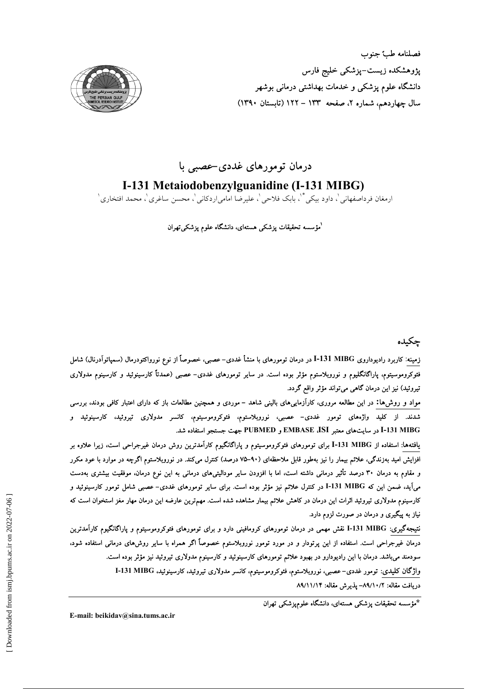

# درمان تومورهای غددی-عصبی با

I-131 Metaiodobenzylguanidine (I-131 MIBG)

ارمغان فر داصفهانی '، داود بیکی \*ْ، بابک فلاحی '، علیرضا امامی|ردکانی '، محسن ساغری '، محمد افتخاری '

<sup>ا</sup>مؤسسه تحقیقات پزشکی هستهای، دانشگاه علوم پزشکیتهران

## جكىدە

زمینه: کاربرد رادیوداروی I-131 MIBG در درمان تومورهای با منشأ غددی– عصبی، خصوصاً از نوع نورواکتودرمال (سمپاتوآدرنال) شامل فئوکروموسیتوم، پاراگانگلیوم و نوروبلاستوم مؤثر بوده است. در سایر تومورهای غددی– عصبی (عمدتاً کارسینوئید و کارسینوم مدولاری تیروئید) نیز این درمان گاهی میتواند مؤثر واقع گردد.

مواد و روش۵۱: در این مطالعه مروری، کارآزماییهای بالینی شاهد – موردی و همچنین مطالعات باز که دارای اعتبار کافی بودند، بررسی شدند. از کلید واژههای تومور غددی- عصبی، نوروبلاستوم، فئوکروموسیتوم، کانسر مدولاری تیروئید، کارسینوئید و I-131 MIBG در سایتهای معتبر EMBASE ،ISI و PUBMED جهت جستجو استفاده شد.

یافتهها: استفاده از I-131 MIBG برای تومورهای فئوکروموسیتوم و پاراگانگیوم کارآمدترین روش درمان غیرجراحی است، زیرا علاوه بر افزایش امید بهزندگی، علائم بیمار را نیز بهطور قابل ملاحظهای (۹۰–۷۵ درصد) کنترل میکند. در نوروبلاستوم اگرچه در موارد با عود مکرر و مقاوم به درمان ۳۰ درصد تأثیر درمانی داشته است، اما با افزودن سایر مودالیتیهای درمانی به این نوع درمان، موفقیت بیشتری بهدست می]ید، ضمن این که I-131 MIBG در کنترل علائم نیز مؤثر بوده است. برای سایر تومورهای غددی– عصبی شامل تومور کارسینوئید و کارسینوم مدولاری تیروئید اثرات این درمان در کاهش علائم بیمار مشاهده شده است. مهمترین عارضه این درمان مهار مغز استخوان است که نیاز به پیگیری و درمان در صورت لزوم دارد.

نتیجهگیری: I-131 MIBG نقش مهمی در درمان تومورهای کرومافینی دارد و برای تومورهای فئوکروموسیتوم و پاراگانگیوم کارآمدترین درمان غیرجراحی است. استفاده از این پرتودار و در مورد تومور نوروبلاستوم خصوصاً اگر همراه با سایر روشهای درمانی استفاده شود، سودمند میباشد. درمان با این رادیودارو در بهبود علائم تومورهای کارسینوئید و کارسینوم مدولاری تیروئید نیز مؤثر بوده است. واژگان کلیدی: تومور غددی- عصبی، نوروبلاستوم، فئوکروموسیتوم، کانسر مدولاری تیروئید، کارسینوئید، I-131 MIBG دريافت مقاله: ٨٩/١٠/٢- يذيرش مقاله: ٨٩/١١/١٣

\*مؤسسه تحقیقات پزشکی هستهای، دانشگاه علومپزشکی تهران

E-mail: beikidav@sina.tums.ac.ir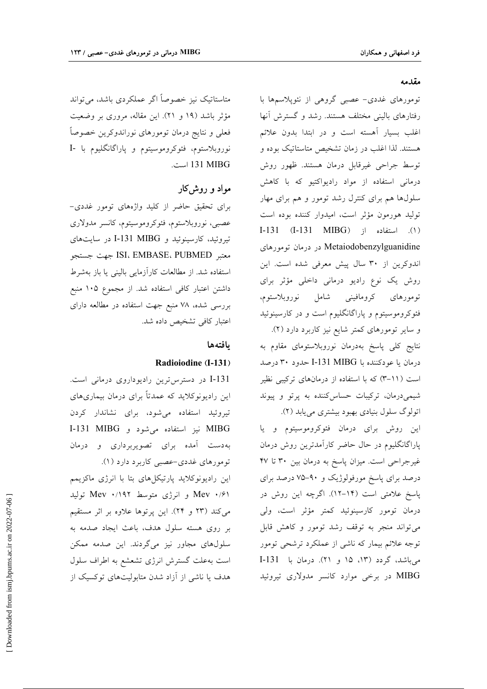#### مقدمه

تومورهای غددی- عصبی گروهی از نئوپلاسمها با رفتارهای بالینی مختلف هستند. رشد و گسترش آنها اغلب بسیار آهسته است و در ابتدا بدون علائم هستند. لذا اغلب در زمان تشخیص متاستاتیک بوده و توسط جراحی غیرقابل درمان هستند. ظهور روش درمانی استفاده از مواد رادیواکتیو که با کاهش سلولها هم برای کنترل رشد تومور و هم برای مهار تولید هورمون مؤثر است، امیدوار کننده بوده است (١). استفاده از (I-131 MIBG) د). Metaiodobenzylguanidine در درمان تومورهای اندوکرین از ۳۰ سال پیش معرفی شده است. این روش یک نوع رادیو درمانی داخلی مؤثر برای تومورهای کرومافینی شامل نوروبلاستوم، فئوکروموسیتوم و پاراگانگلیوم است و در کارسینوئید و سایر تومورهای کمتر شایع نیز کاربرد دارد (۲). نتایج کل<sub>ی</sub> پاسخ بهدرمان نوروبلاستومای مقاوم به درمان يا عودكننده با I-131 MIBG حدود ٣٠ درصد است (۱۱-۳) که با استفاده از درمانهای ترکیبی نظیر شیمیدرمان، ترکیبات حساس کننده به پرتو و پیوند اتولوگ سلول بنیادی بهبود بیشتری می یابد (۲).

این روش برای درمان فئوکروموسیتوم و یا پاراگانگلیوم در حال حاضر کارآمدترین روش درمان غیرجراحی است. میزان پاسخ به درمان بین ۳۰ تا ۴۷ درصد برای پاسخ مورفولوژیک و ۹۰-۷۵ درصد برای پاسخ علامتی است (۱۴–۱۲). اگرچه این روش در درمان تومور كارسينوئيد كمتر مؤثر است، ولي می تواند منجر به توقف رشد تومور و کاهش قابل توجه علائم بیمار که ناشی از عملکرد ترشحی تومور می باشد، گردد (۱۳، ۱۵ و ۲۱). درمان با I-131 MIBG در برخی موارد کانسر مدولاری تیروئید

متاستاتیک نیز خصوصاً اگر عملکردی باشد، می تواند مؤثر باشد (۱۹ و ۲۱). این مقاله، مروری بر وضعیت فعلی و نتایج درمان تومورهای نوراندوکرین خصوصاً نوروبلاستوم، فئوكروموسيتوم و ياراگانگليوم با -I 131 MIBG است.

### مواد و روش کار

برای تحقیق حاضر از کلید واژههای تومور غددی-عصبي، نوروبلاستوم، فئوكروموسيتوم، كانسر مدولاري تیروئید، کارسینوئید و I-131 MIBG در سایتهای معتبر ISI، EMBASE، PUBMED جهت جستجو استفاده شد. از مطالعات کارآزمایی بالینی یا باز بهشرط داشتن اعتبار كافي استفاده شد. از مجموع ۱۰۵ منبع بررسی شده، ۷۸ منبع جهت استفاده در مطالعه دارای اعتبار كافى تشخيص داده شد.

#### بافتهها

#### Radioiodine (I-131)

I-131 در دسترس ترین رادیوداروی درمانی است. این رادیونوکلاید که عمدتاً برای درمان بیماریهای تیروئید استفاده میشود، برای نشاندار کردن MIBG نيز استفاده مي شود و I-131 MIBG بهدست آمده برای تصویربرداری و درمان تومورهای غددی-عصبی کاربرد دارد (۱).

این رادیونوکلاید پارتیکلهای بتا با انرژی ماکزیمم Mev ۰/۶۱ و انرژی متوسط Mev ۰/۱۹۲ تولید می کند (۲۳ و ۲۴). این پرتوها علاوه بر اثر مستقیم بر روی هسته سلول هدف، باعث ایجاد صدمه به سلولهای مجاور نیز میگردند. این صدمه ممکن است به علت گسترش انرژی تشعشع به اطراف سلول هدف یا ناشی از آزاد شدن متابولیتهای توکسیک از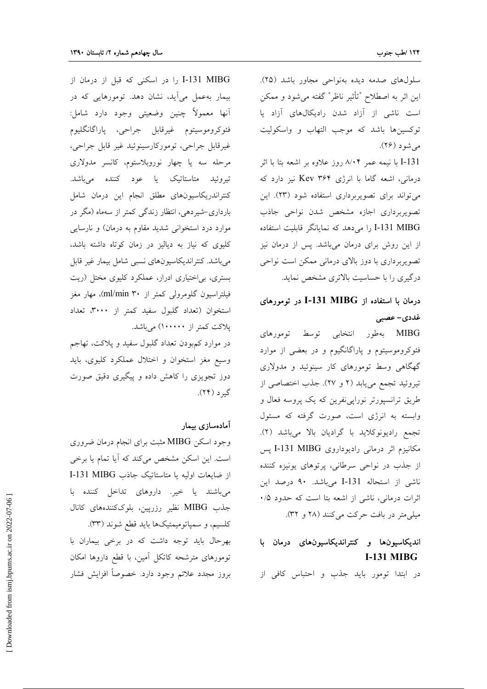سلولهای صدمه دیده بهنواحی مجاور باشد (۲۵). این اثر به اصطلاح "تأثیر ناظر" گفته می شود و ممکن است ناشی از آزاد شدن رادیکالهای آزاد یا توكسينها باشد كه موجب التهاب و واسكوليت مي شود (۲۶).

I-131 با نیمه عمر ۸٬۰۴ روز علاوه بر اشعه بتا با اثر درمانی، اشعه گاما با انرژی Kev ۳۶۴ نیز دارد که می تواند برای تصویربرداری استفاده شود (۲۳). این تصويربرداري اجازه مشخص شدن نواحى جاذب I-131 MIBG را می دهد که نمایانگر قابلیت استفاده از این روش برای درمان میباشد. پس از درمان نیز تصویربرداری با دوز بالای درمانی ممکن است نواحی درگیری را با حساسیت بالاتری مشخص نماید.

# درمان با استفاده از I-131 MIBG در تومورهای غددی- عصبی

MIBG بهطور انتخابی توسط تومورهای فئوکروموسیتوم و پاراگانگیوم و در بعضی از موارد گهگاهی وسط تومورهای کار سینوئید و مدولاری تیروئید تجمع می یابد (۲ و ۲۷). جذب اختصاصی از طریق ترانسپورتر نورایی نفرین که یک پروسه فعال و وابسته به انرژی است، صورت گرفته که مسئول تجمع راديونوكلايد با گراديان بالا مىباشد (٢). مکانیزم اثر درمانی رادیوداروی I-131 MIBG پس از جذب در نواحی سرطانی، پرتوهای یونیزه کننده ناشی از استحاله I-131 میباشد. ۹۰ درصد این اثرات درمانی، ناشی از اشعه بتا است که حدود ۰/۵ میلی متر در بافت حرکت می کنند (۲۸ و ۳۲).

# اندیکاسیونها و کنتراندیکاسیونهای درمان با **I-131 MIBG**

در ابتدا تومور بايد جذب و احتباس كافي از

I-131 MIBG را در اسکنی که قبل از درمان از بیمار به عمل می آید، نشان دهد. تومورهایی که در آنها معمولاً چنين وضعيتي وجود دارد شامل: فئوكروموسيتوم غيرقابل جراحي، پاراگانگليوم غیرقابل جراحی، تومورکارسینوئید غیر قابل جراحی، مرحله سه یا چهار نوروبلاستوم، کانسر مدولاری تیروئید متاستاتیک یا عود کننده میباشد. كنتراندريكاسيونهاى مطلق انجام اين درمان شامل بارداری-شیردهی، انتظار زندگی کمتر از سهماه (مگر در موارد درد استخوانی شدید مقاوم به درمان) و نارسایی کلیوی که نیاز به دیالیز در زمان کوتاه داشته باشد، میباشد. کنتراندیکاسیونهای نسبی شامل بیمار غیر قابل بستری، بی|ختیاری ادرار، عملکرد کلیوی مختل (ریت فیلتراسیون گلومرولی کمتر از ۳۰ ml/min)، مهار مغز استخوان (تعداد گلبول سفید کمتر از ۳۰۰۰، تعداد یلاکت کمتر از ۱۰۰۰۰۰) میباشد.

در موارد کمبودن تعداد گلبول سفید و پلاکت، تهاجم وسیع مغز استخوان و اختلال عملکرد کلیوی، باید دوز تجویزی را کاهش داده و پیگیری دقیق صورت گېر د (۲۴).

### آمادهسازي بيمار

وجود اسکن MIBG مثبت برای انجام درمان ضروری است. این اسکن مشخص میکند که آیا تمام یا برخی از ضايعات اوليه يا متاستاتيك جاذب I-131 MIBG میباشند یا خیر. داروهای تداخل کننده با جذب MIBG نظیر رزرپین، بلوککنندههای کانال کلسیم، و سمپاتومیمتیکها باید قطع شوند (۳۳).

بهرحال باید توجه داشت که در برخی بیماران با تومورهای مترشحه کاتکل آمین، با قطع داروها امکان بروز مجدد علائم وجود دارد. خصوصاً افزايش فشار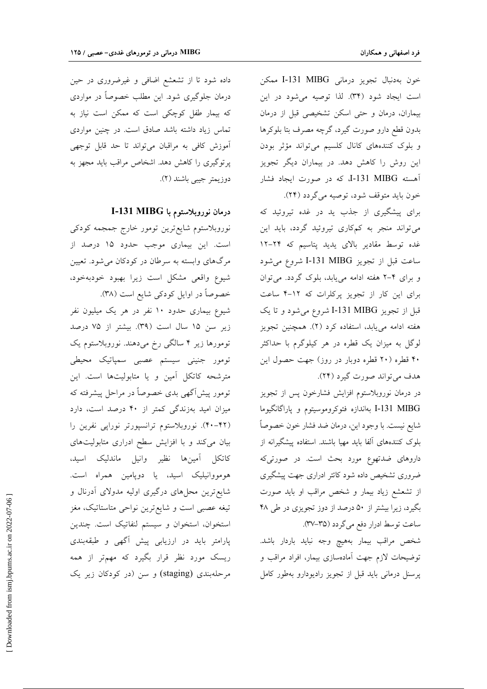خون به دنبال تجويز درماني I-131 MIBG ممكن است ايجاد شود (۳۴). لذا توصيه مي شود در اين بیماران، درمان و حتی اسکن تشخیصی قبل از درمان بدون قطع دارو صورت گیرد، گرچه مصرف بتا بلوکرها و بلوک کنندههای کانال کلسیم میتواند مؤثر بودن این روش را کاهش دهد. در بیماران دیگر تجویز أهسته I-131 MIBG، كه در صورت ايجاد فشار خون بايد متوقف شود، توصيه مي گردد (٢۴).

برای پیشگیری از جذب ید در غده تیروئید که می تواند منجر به کمکاری تیروئید گردد، باید این غده توسط مقادیر بالای یدید پتاسیم که ۲۴-۱۲ ساعت قبل از تجويز I-131 MIBG شروع مى شود و برای ۴-۲ هفته ادامه مییابد، بلوک گردد. میتوان برای این کار از تجویز پرکلرات که ۱۲-۴ ساعت قبل از تجویز I-131 MIBG شروع می شود و تا یک هفته ادامه می یابد، استفاده کرد (۲). همچنین تجویز لوگل به میزان یک قطره در هر کیلوگرم با حداکثر ۴۰ قطره (۲۰ قطره دوبار در روز) جهت حصول این هدف مي تواند صورت گيرد (٢۴).

در درمان نوروبلاستوم افزایش فشارخون پس از تجویز I-131 MIBG بهاندازه فئوكروموسيتوم و پاراگانگيوما شايع نيست. با وجود اين، درمان ضد فشار خون خصوصاً بلوک کنندههای آلفا باید مهیا باشند. استفاده پیشگیرانه از داروهای ضدتهوع مورد بحث است. در صورتیکه ضروری تشخیص داده شود کاتتر ادراری جهت پیشگیری از تشعشع زیاد بیمار و شخص مراقب او باید صورت بگیرد، زیرا بیشتر از ۵۰ درصد از دوز تجویزی در طی ۴۸ ساعت توسط ادرار دفع مي گردد (٣٥–٣٧).

شخص مراقب بيمار بههيچ وجه نبايد باردار باشد. توضیحات لازم جهت آمادهسازی بیمار، افراد مراقب و پرسنل درمانی باید قبل از تجویز رادیودارو بهطور کامل

داده شود تا از تشعشع اضافی و غیرضروری در حین درمان جلوگیری شود. این مطلب خصوصاً در مواردی که بیمار طفل کوچکی است که ممکن است نیاز به تماس زیاد داشته باشد صادق است. در چنین مواردی آموزش كافى به مراقبان مى تواند تا حد قابل توجهى پرتوگیری را کاهش دهد. اشخاص مراقب باید مجهز به دوزيمتر جيبي باشند (٢).

درمان نوروبلاستوم با I-131 MIBG

نوروبلاستوم شايع ترين تومور خارج جمجمه كودكي است. این بیماری موجب حدود ۱۵ درصد از مرگهای وابسته به سرطان در کودکان میشود. تعیین شیوع واقعی مشکل است زیرا بهبود خودبهخود، خصوصاً در اوایل کودکی شایع است (۳۸). شیوع بیماری حدود ۱۰ نفر در هر یک میلیون نفر زير سن ١٥ سال است (٣٩). بيشتر از ٧۵ درصد تومورها زیر ۴ سالگی رخ میدهند. نوروبلاستوم یک تومور جنینی سیستم عصبی سمپاتیک محیطی مترشحه كاتكل آمين و يا متابوليتها است. اين تومور پیشآگهی بدی خصوصاً در مراحل پیشرفته که میزان امید بهزندگی کمتر از ۴۰ درصد است، دارد (۴۲–۴۰). نوروبلاستوم ترانسپورتر نوراپی نفرین را بیان میکند و با افزایش سطح ادراری متابولیتهای كاتكل آمينها نظير وانيل ماندليك اسيد، هومووانیلیک اسید، یا دوپامین همراه است. شایع ترین محلهای درگیری اولیه مدولای آدرنال و تیغه عصبی است و شایع ترین نواحی متاستاتیک، مغز استخوان، استخوان و سیستم لنفاتیک است. چندین پارامتر باید در ارزیابی پیش آگهی و طبقهبندی ریسک مورد نظر قرار بگیرد که مهمتر از همه مرحلهبندی (staging) و سن (در کودکان زیر یک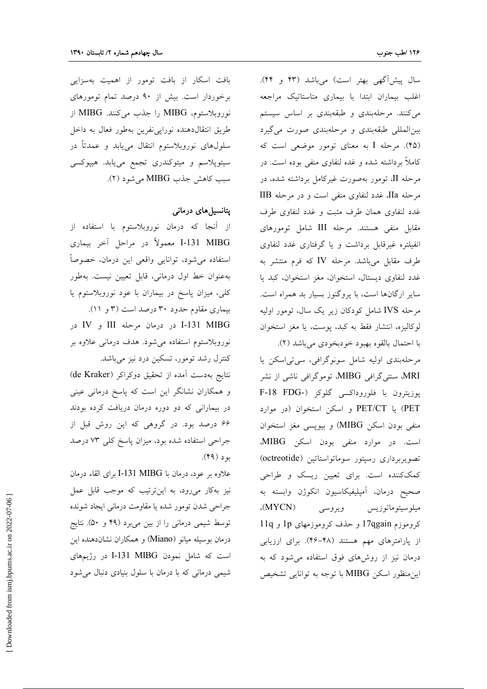سال پیش آگهی بهتر است) میباشد (۴۳ و ۴۴). اغلب بیماران ابتدا با بیماری متاستاتیک مراجعه می کنند. مرحلهبندی و طبقهبندی بر اساس سیستم بین المللی طبقهبندی و مرحلهبندی صورت می گیرد (۴۵). مرحله I به معنای تومور موضعی است که کاملاً برداشته شده و غده لنفاوی منفی بوده است. در مرحله II، تومور بهصورت غیرکامل برداشته شده، در مرحله IIa، غدد لنفاوي منفي است و در مرحله IIB غدد لنفاوى همان طرف مثبت و غدد لنفاوى طرف مقابل منفی هستند. مرحله III شامل تومورهای انفیلتره غیرقابل برداشت و یا گرفتاری غدد لنفاوی طرف مقابل میباشد. مرحله IV که فرم منتشر به غدد لنفاوي ديستال، استخوان، مغز استخوان، كبد يا سایر ارگانها است، با پروگنوز بسیار بد همراه است. مرحله IVS شامل کودکان زیر یک سال، تومور اولیه لوكاليزه، انتشار فقط به كبد، يوست، يا مغز استخوان با احتمال بالقوه بهبود خودبخودي مي باشد (٢).

مرحلهبندی اولیه شامل سونوگرافی، سی تی اسکن یا MRI، سنتی گرافی MIBG، توموگرافی ناشی از نشر يوزيترون با فلوروداكسي گلوكز (-F-18 FDG PET/CT) یا PET/CT و اسکن استخوان (در موارد منفي بودن اسكن MIBG) و بيويسي مغز استخوان است. در موارد منفی بودن اسکن MIBG، تصويربرداري رسپتور سوماتواستاتين (octreotide) کمککننده است. برای تعیین ریسک و طراحی صحيح درمان، آمپليفيكاسيون انكوژن وابسته به  $(MYCN)$ ويروسي ميلوسيتوماتوزيس کروموزم 17qgain و حذف کروموزمهای 1p و 11q از پارامترهای مهم هستند (۴۸-۴۶). برای ارزیابی درمان نیز از روشهای فوق استفاده می شود که به این منظور اسکن MIBG با توجه به توانایی تشخیص

بافت اسکار از بافت تومور از اهمیت بهسزایی برخوردار است. بیش از ۹۰ درصد تمام تومورهای نوروبلاستوم، MIBG را جذب می کنند. MIBG از طريق انتقال دهنده نوراپي نفرين بهطور فعال به داخل سلولهای نوروبلاستوم انتقال مییابد و عمدتاً در سیتوپلاسم و میتوکندری تجمع مییابد. هیپوکسی سبب كاهش جذب MIBG مي شود (٢).

### یتانسیل های درمانی

از آنجا که درمان نوروبلاستوم با استفاده از I-131 MIBG معمولاً در مراحل آخر بيماري استفاده می شود، توانایی واقعی این درمان، خصوصاً به عنوان خط اول درمانی، قابل تعیین نیست. به طور کلی، میزان پاسخ در بیماران با عود نوروبلاستوم یا بیماری مقاوم حدود ۳۰ درصد است (۳ و ۱۱).

I-131 MIBG در درمان مرحله III و IV در نوروبلاستوم استفاده میشود. هدف درمانی علاوه بر کنترل رشد تومور، تسکین درد نیز میباشد.

نتايج بهدست آمده از تحقيق دوكراكر (de Kraker) و همکاران نشانگر این است که پاسخ درمانی عینی در بیمارانی که دو دوره درمان دریافت کرده بودند ۶۶ درصد بود. در گروهی که این روش قبل از جراحی استفاده شده بود، میزان پاسخ کلی ۷۳ درصد بو د (۴۹).

علاوه بر عود، درمان با I-131 MIBG برای القاء درمان نیز بهکار میرود، به اینترتیب که موجب قابل عمل جراحي شدن تومور شده يا مقاومت درماني ايجاد شونده توسط شیمی درمانی را از بین میبرد (۴۹ و ۵۰). نتایج درمان بوسیله میانو (Miano) و همکاران نشاندهنده این است که شامل نمودن I-131 MIBG در رژیمهای شیمی درمانی که با درمان با سلول بنیادی دنبال می شود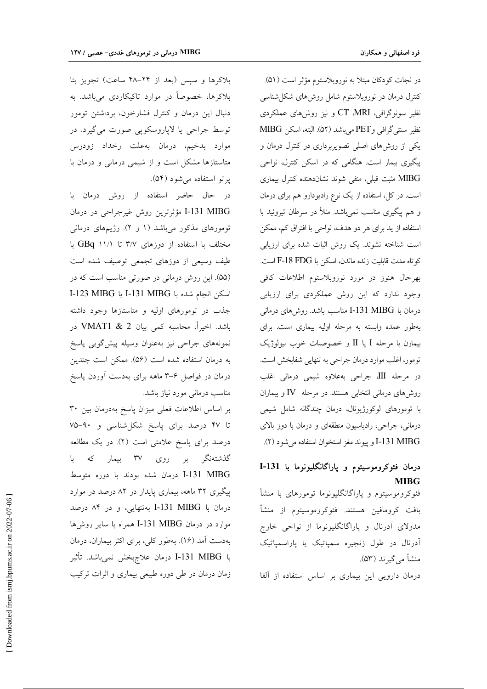در نجات کودکان مبتلا به نوروبلاستوم مؤثر است (۵۱). کنترل درمان در نوروبلاستوم شامل روشهای شکل شناسی نظیر سونوگرافی، CT ،MRI و نیز روشهای عملکردی نظير سنتي گرافي و PET مي باشد (۵۲). البته، اسكن MIBG یکی از روشهای اصلی تصویربرداری در کنترل درمان و پیگیری بیمار است. هنگامی که در اسکن کنترل، نواحی MIBG مثبت قبلی، منفی شوند نشاندهنده کنترل بیماری است. در کل، استفاده از یک نوع رادیودارو هم برای درمان و هم پیگیری مناسب نمی باشد. مثلاً در سرطان تیروئید با استفاده از يد براى هر دو هدف، نواحى با افتراق كم، ممكن است شناخته نشوند. یک روش اثبات شده برای ارزیابی كوتاه مدت قابليت زنده ماندن، اسكن با F-18 FDG است. بهرحال هنوز در مورد نوروبلاستوم اطلاعات كافى وجود ندارد که این روش عملکردی برای ارزیابی درمان با I-131 MIBG مناسب باشد. روشهای درمانی بهطور عمده وابسته به مرحله اوليه بيماري است. براي بیمارن با مرحله I یا II و خصوصیات خوب بیولوژیک تومور، اغلب موارد درمان جراحی به تنهایی شفابخش است. در مرحله III، جراحی بهعلاوه شیمی درمانی اغلب روشهای درمانی انتخابی هستند. در مرحله IV و بیماران با تومورهای لوکورژیونال، درمان چندگانه شامل شیمی درمانی، جراحی، رادیاسیون منطقهای و درمان با دوز بالای I-131 MIBG و ييوند مغز استخوان استفاده مي شود (٢).

# درمان فئوكروموسيتوم و پاراگانگليونوما با I-131 **MIBG**

فئوکروموسیتوم و پاراگانگلیونوما تومورهای با منشأ بافت كرومافين هستند. فئوكروموسيتوم از منشأ مدولای آدرنال و پاراگانگلیونوما از نواحی خارج آدرنال در طول زنجیره سمپاتیک یا پاراسمپاتیک منشأ مي گير ند (۵۳).

درمان دارویی این بیماری بر اساس استفاده از آلفا

بلاکرها و سپس (بعد از ۲۴–۴۸ ساعت) تجویز بتا بلاکرها، خصوصاً در موارد تاکیکاردی میباشد. به دنبال این درمان و کنترل فشارخون، برداشتن تومور توسط جراحی یا لاپاروسکوپی صورت میگیرد. در موارد بدخيم، درمان بهعلت رخداد زودرس متاستازها مشکل است و از شیمی درمانی و درمان با پرتو استفاده می شود (۵۴).

در حال حاضر استفاده از روش درمان با I-131 MIBG مؤثرترين روش غيرجراحي در درمان تومورهای مذکور میباشد (۱ و ۲). رژیمهای درمانی مختلف با استفاده از دوزهای ۳/۷ تا ۱۱/۱ GBq با طیف وسیعی از دوزهای تجمعی توصیف شده است (۵۵). این روش درمانی در صورتی مناسب است که در اسكن انجام شده با I-131 MIBG يا I-123 MIBG جذب در تومورهای اولیه و متاستازها وجود داشته باشد. اخیراً، محاسبه کمی بیان VMAT1 & 2 در نمونههای جراحی نیز بهعنوان وسیله پیش گویی پاسخ به درمان استفاده شده است (۵۶). ممکن است چندین درمان در فواصل ۶–۳ ماهه برای بهدست آوردن پاسخ مناسب درمانی مورد نیاز باشد.

بر اساس اطلاعات فعلى ميزان پاسخ بهدرمان بين ٣٠ تا ۴۷ درصد برای پاسخ شکلشناسی و ۹۰-۷۵ درصد برای پاسخ علامتی است (۲). در یک مطالعه گذشتهنگر بر روی ۳۷ بیمار که با I-131 MIBG درمان شده بودند با دوره متوسط پیگیری ۳۲ ماهه، بیماری پایدار در ۸۲ درصد در موارد درمان با I-131 MIBG بهتنهایی، و در ۸۴ درصد موارد در درمان I-131 MIBG همراه با سایر روشها بهدست آمد (۱۶). بهطور کلی، برای اکثر بیماران، درمان با I-131 MIBG درمان علاجهخش نمىباشد. تأثير زمان درمان در طی دوره طبیعی بیماری و اثرات ترکیب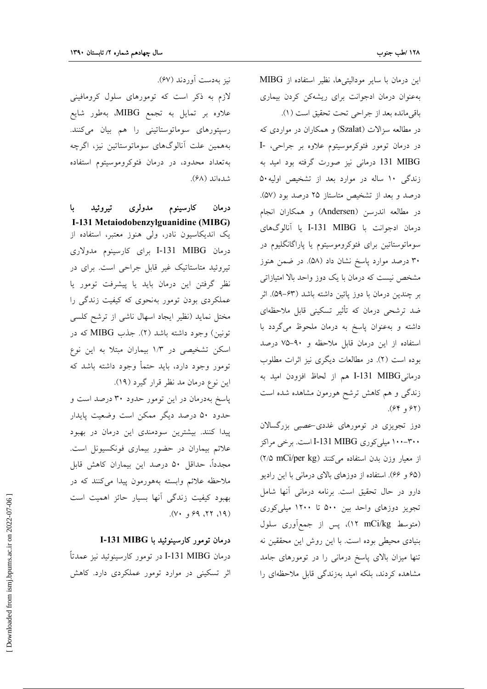این درمان با سایر مودالیتیها، نظیر استفاده از MIBG بهعنوان درمان ادجوانت برای ریشهکن کردن بیماری باقي مانده بعد از جراحي تحت تحقيق است (١). در مطالعه سزالات (Szalat) و همکاران در مواردی که در درمان تومور فئوكرموسيتوم علاوه بر جراحي، -I 131 MIBG درمانی نیز صورت گرفته بود امید به زندگی ۱۰ ساله در موارد بعد از تشخیص اولیه۵۰ درصد و بعد از تشخیص متاستاز ۲۵ درصد بود (۵۷). در مطالعه اندرسن (Andersen) و همکاران انجام درمان ادجوانت با I-131 MIBG يا آنالوگهاى سوماتوستاتین برای فئوکروموسیتوم یا پاراگانگلیوم در ۳۰ درصد موارد پاسخ نشان داد (۵۸). در ضمن هنوز مشخص نیست که درمان با یک دوز واحد بالا امتیازاتی بر چندین درمان با دوز پائین داشته باشد (۶۳–۵۹). اثر ضد ترشحی درمان که تأثیر تسکینی قابل ملاحظهای داشته و به عنوان پاسخ به درمان ملحوظ می گردد با استفاده از این درمان قابل ملاحظه و ۹۰-۷۵ درصد بوده است (٢). در مطالعات ديگرى نيز اثرات مطلوب درمانيI-131 MIBG هم از لحاظ افزودن اميد به زندگی و هم کاهش ترشح هورمون مشاهده شده است (۶۲ و ۶۴).

دوز تجویزی در تومورهای غددی-عصبی بزرگسالان ۳۰۰–۱۰۰ میلی کوری I-131 MIBG است. برخی مراکز از معیار وزن بدن استفاده میکنند (۲/۵ mCi/per kg) (۶۵ و ۶۶). استفاده از دوزهای بالای درمانی با این رادیو دارو در حال تحقیق است. برنامه درمانی آنها شامل تجویز دوزهای واحد بین ۵۰۰ تا ۱۲۰۰ میلی کوری (متوسط nCi/kg)، پس از جمع آوري سلول بنیادی محیطی بوده است. با این روش این محققین نه تنها میزان بالای پاسخ درمانی را در تومورهای جامد مشاهده کردند، بلکه امید بهزندگی قابل ملاحظهای را

نيز بەدىست أوردند (۶۷). لازم به ذکر است که تومورهای سلول کرومافینی

علاوه بر تمایل به تجمع MIBG، بهطور شایع رسپتورهای سوماتوستاتینی را هم بیان میکنند. بههمين علت أنالوگهاى سوماتوستاتين نيز، اگرچه بهتعداد محدود، در درمان فئوكروموسيتوم استفاده شدهاند (۶۸).

کارسینوم مدولری تیروئید ا با درمان I-131 Metaiodobenzylguanidine (MIBG) یک اندیکاسیون نادر، ولی هنوز معتبر، استفاده از درمان I-131 MIBG برای کارسینوم مدولاری تیروئید متاستاتیک غیر قابل جراحی است. برای در نظر گرفتن این درمان باید یا پیشرفت تومور یا عملکردی بودن تومور بهنحوی که کیفیت زندگی را مختل نماید (نظیر ایجاد اسهال ناشی از ترشح کلسی تونين) وجود داشته باشد (٢). جذب MIBG كه در اسکن تشخیصی در ۱/۳ بیماران مبتلا به این نوع تومور وجود دارد، باید حتمأ وجود داشته باشد که این نوع درمان مد نظر قرار گیرد (۱۹).

پاسخ بهدرمان در این تومور حدود ۳۰ درصد است و حدود ۵۰ درصد دیگر ممکن است وضعیت پایدار پیدا کنند. بیشترین سودمندی این درمان در بهبود علائم بیماران در حضور بیماری فونکسیونل است. مجدداً، حداقل ۵۰ درصد این بیماران کاهش قابل ملاحظه علائم وابسته بههورمون پيدا مى كنند كه در بهبود کیفیت زندگی آنها بسیار حائز اهمیت است  $(Y^{\dagger}, P^{\dagger}, P^{\dagger})$ 

#### درمان تومور کارسینوئید با I-131 MIBG

درمان I-131 MIBG در تومور كارسينوئيد نيز عمدتاً اثر تسکینی در موارد تومور عملکردی دارد. کاهش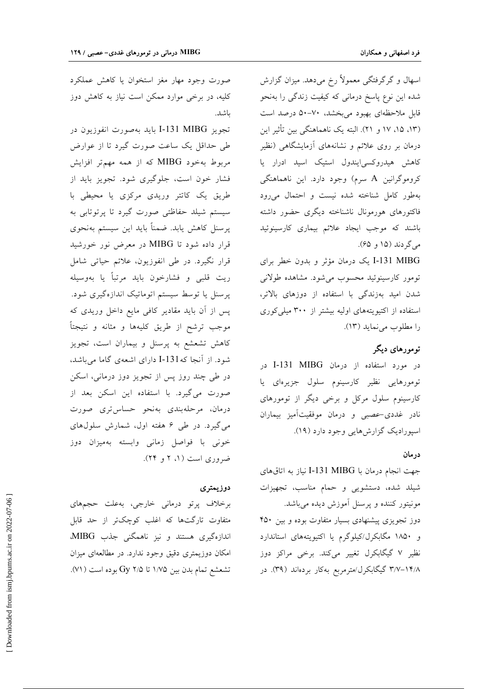اسهال و گرگرفتگی معمولاً رخ میدهد. میزان گزارش شده این نوع پاسخ درمانی که کیفیت زندگی را بهنحو قابل ملاحظهای بهبود میبخشد، ۷۰-۵۰ درصد است (١٣، ١٥، ١٧ و ٢١). البته يک ناهماهنگي بين تأثير اين درمان بر روی علائم و نشانههای آزمایشگاهی (نظیر کاهش هیدروکسی ایندول استیک اسید ادرار یا کروموگرانین A سرم) وجود دارد. این ناهماهنگی بهطور كامل شناخته شده نيست و احتمال مى رود فاكتورهاى هورمونال ناشناخته ديگرى حضور داشته باشند که موجب ایجاد علائم بیماری کارسینوئید ميگردند (۱۵ و ۶۵).

I-131 MIBG یک درمان مؤثر و بدون خطر برای تومور كارسينوئيد محسوب مى شود. مشاهده طولانى شدن امید بهزندگی با استفاده از دوزهای بالاتر، استفاده از اکتیویتههای اولیه بیشتر از ۳۰۰ میلی کوری را مطلوب مي نمايد (١٣).

### تومورهای دیگر

در مورد استفاده از درمان I-131 MIBG در تومورهایی نظیر کارسینوم سلول جزیرهای یا کارسینوم سلول مرکل و برخی دیگر از تومورهای نادر غددی-عصبی و درمان موفقیتآمیز بیماران اسپورادیک گزارشهایی وجود دارد (۱۹).

#### در مان

جهت انجام درمان با I-131 MIBG نياز به اتاق هاي شیلد شده، دستشویی و حمام مناسب، تجهیزات مونیتور کننده و پرسنل آموزش دیده میباشد. دوز تجویزی پیشنهادی بسیار متفاوت بوده و بین ۴۵۰ و ۱۸۵۰ مگابکرل/کیلوگرم یا اکتیویتههای استاندارد نظیر ۷ گیگابکرل تغییر میکند. برخی مراکز دوز ۳/۷–۱۴/۸ گیگابکرل/مترمربع بهکار بردهاند (۳۹). در

صورت وجود مهار مغز استخوان یا کاهش عملکرد کلیه، در برخی موارد ممکن است نیاز به کاهش دوز ىاشد.

تجويز I-131 MIBG بايد بهصورت انفوزيون در طی حداقل یک ساعت صورت گیرد تا از عوارض مربوط بهخود MIBG که از همه مهم تر افزایش فشار خون است، جلوگیری شود. تجویز باید از طریق یک کاتتر وریدی مرکزی یا محیطی با سیستم شیلد حفاظتی صورت گیرد تا پرتوتابی به پرسنل کاهش یابد. ضمناً باید این سیستم بهنحوی قرار داده شود تا MIBG در معرض نور خورشید قرار نگیرد. در طی انفوزیون، علائم حیاتی شامل ريت قلبي و فشارخون بايد مرتباً يا بهوسيله پرسنل یا توسط سیستم اتوماتیک اندازهگیری شود. پس از آن باید مقادیر کافی مایع داخل وریدی که موجب ترشح از طريق كليهها و مثانه و نتيجتاً کاهش تشعشع به پرسنل و بیماران است، تجویز شود. از آنجا که131-I دارای اشعهی گاما میباشد، در طی چند روز پس از تجویز دوز درمانی، اسکن صورت میگیرد. با استفاده این اسکن بعد از درمان، مرحلهبندي بهنحو حساس ترى صورت می گیرد. در طی ۶ هفته اول، شمارش سلولهای خونی با فواصل زمانی وابسته بهمیزان دوز ضروری است (۱، ۲ و ۲۴).

#### دوزيمتري

برخلاف پرتو درمانی خارجی، بهعلت حجمهای متفاوت تارگتها که اغلب کوچکتر از حد قابل اندازهگیری هستند و نیز ناهمگنی جذب MIBG، امکان دوزیمتری دقیق وجود ندارد. در مطالعهای میزان تشعشع تمام بدن بين ١/٧۵ تا ٢/٥ Gy بوده است (٧١).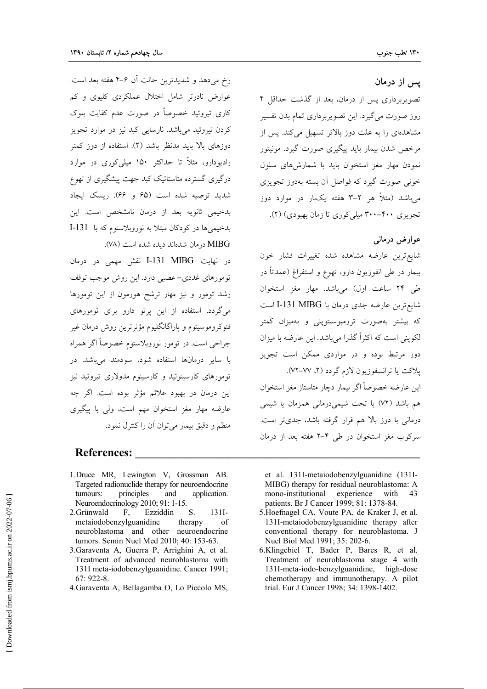### يس از درمان

تصویربرداری پس از درمان، بعد از گذشت حداقل ۴ روز صورت می گیرد. این تصویربرداری تمام بدن تفسیر مشاهدهای را به علت دوز بالاتر تسهیل میکند. پس از مرخص شدن بیمار باید پیگیری صورت گیرد. مونیتور نمودن مهار مغز استخوان بايد با شمارشهاى سلول خونی صورت گیرد که فواصل آن بسته بهدوز تجویزی می باشد (مثلاً هر ۲–۳ هفته یکبار در موارد دوز تجویزی ۴۰۰–۳۰۰ میلی کوری تا زمان بهبودی) (۲).

### عوارض درمانی

شايع ترين عارضه مشاهده شده تغييرات فشار خون بيمار در طي انفوزيون دارو، تهوع و استفراغ (عمدتاً در طی ۲۴ ساعت اول) میباشد. مهار مغز استخوان شايع ترين عارضه جدى درمان با I-131 MIBG است که بیشتر بهصورت ترومبوسیتوپنی و بهمیزان کمتر لکوینی است که اکثراً گذرا می باشد. این عارضه با میزان دوز مرتبط بوده و در مواردی ممکن است تجویز پلاکت یا ترانسفوزیون لازم گردد (۲، ۷۷–۷۲). اين عارضه خصوصاً اگر بيمار دچار متاستاز مغز استخوان هم باشد (٧٢) یا تحت شیمیدرمانی همزمان یا شیمی درمانی با دوز بالا هم قرار گرفته باشد، جدیتر است. سرکوب مغز استخوان در طی ۴–۲ هفته بعد از درمان

رخ میدهد و شدیدترین حالت آن ۶–۴ هفته بعد است. عوارض نادرتر شامل اختلال عملکردی کلیوی و کم کاری تیروئید خصوصاً در صورت عدم کفایت بلوک کردن تیروئید می باشد. نارسایی کبد نیز در موارد تجویز دوزهای بالا باید مدنظر باشد (۲). استفاده از دوز کمتر رادیودارو، مثلاً تا حداکثر ۱۵۰ میلی کوری در موارد درگیری گسترده متاستاتیک کبد جهت پیشگیری از تهوع شدید توصیه شده است (۶۵ و ۶۶). ریسک ایجاد بدخیمی ثانویه بعد از درمان نامشخص است. این بدخيمي ها در كودكان مبتلا به نوروبلاستوم كه با 131-I MIBG در مان شدهاند دیده شده است (۷۸).

در نهایت I-131 MIBG نقش مهمی در درمان تومورهای غددی-عصبی دارد. این روش موجب توقف رشد تومور و نیز مهار ترشح هورمون از این تومورها میگردد. استفاده از این پرتو دارو برای تومورهای فئوكروموسيتوم و ياراگانگليوم مؤثرترين روش درمان غير جراحی است. در تومور نوروبلاستوم خصوصاً اگر همراه با سایر درمانها استفاده شود، سودمند میباشد. در تومورهای کارسینوئید و کارسینوم مدولاری تیروئید نیز این درمان در بهبود علائم مؤثر بوده است. اگر چه عارضه مهار مغز استخوان مهم است، ولي با پيگيري منظم و دقیق بیمار میتوان آن را کنترل نمود.

### **References:**

- 1. Druce MR, Lewington V, Grossman AB. Targeted radionuclide therapy for neuroendocrine tumours: principles and application. Neuroendocrinology 2010; 91: 1-15.
- $131I-$ Ezziddin 2. Grünwald F, S. metaiodobenzylguanidine therapy of neuroblastoma and other neuroendocrine tumors. Semin Nucl Med 2010; 40: 153-63.
- 3. Garaventa A, Guerra P, Arrighini A, et al. Treatment of advanced neuroblastoma with 131I meta-iodobenzylguanidine. Cancer 1991;  $67:922-8.$
- 4. Garaventa A, Bellagamba O, Lo Piccolo MS,

et al. 131I-metaiodobenzylguanidine (131I-MIBG) therapy for residual neuroblastoma: A mono-institutional experience 43 with patients. Br J Cancer 1999; 81: 1378-84.

- 5. Hoefnagel CA, Voute PA, de Kraker J, et al. 131I-metaiodobenzylguanidine therapy after conventional therapy for neuroblastoma. J Nucl Biol Med 1991; 35: 202-6.
- 6.Klingebiel T, Bader P, Bares R, et al. Treatment of neuroblastoma stage 4 with 131I-meta-iodo-benzylguanidine, high-dose chemotherapy and immunotherapy. A pilot trial. Eur J Cancer 1998; 34: 1398-1402.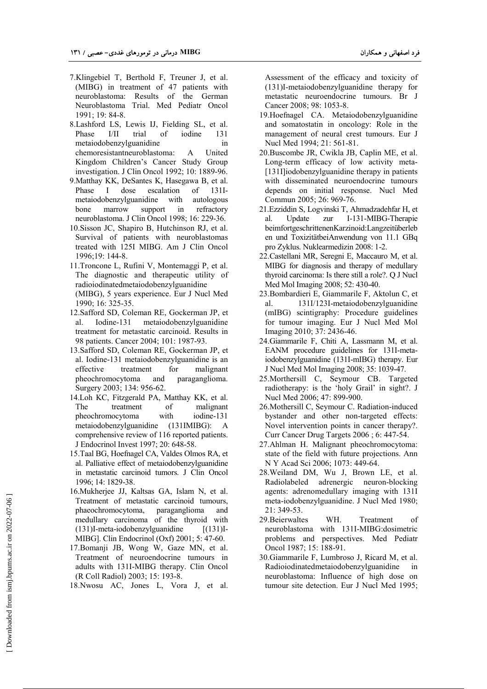- 7.Klingebiel T, Berthold F, Treuner J, et al. (MIBG) in treatment of 47 patients with neuroblastoma: Results of the German Neuroblastoma Trial. Med Pediatr Oncol 1991; 19: 84-8.
- 8.Lashford LS, Lewis IJ, Fielding SL, et al. Phase I/II trial of iodine 131 metaiodobenzylguanidine in chemoresistantneuroblastoma: A United Kingdom Children's Cancer Study Group investigation. J Clin Oncol 1992; 10: 1889-96.
- 9.Matthay KK, DeSantes K, Hasegawa B, et al. Phase I dose escalation of 131Imetaiodobenzylguanidine with autologous bone marrow support in refractory neuroblastoma. J Clin Oncol 1998; 16: 229-36.
- 10.Sisson JC, Shapiro B, Hutchinson RJ, et al. Survival of patients with neuroblastomas treated with 125I MIBG. Am J Clin Oncol 1996;19: 144-8.
- 11.Troncone L, Rufini V, Montemaggi P, et al. The diagnostic and therapeutic utility of radioiodinatedmetaiodobenzylguanidine (MIBG), 5 years experience. Eur J Nucl Med 1990; 16: 325-35.
- 12.Safford SD, Coleman RE, Gockerman JP, et al. Iodine-131 metaiodobenzylguanidine treatment for metastatic carcinoid. Results in 98 patients. Cancer 2004; 101: 1987-93.
- 13.Safford SD, Coleman RE, Gockerman JP, et al. Iodine-131 metaiodobenzylguanidine is an effective treatment for malignant pheochromocytoma and paraganglioma. Surgery 2003; 134: 956-62.
- 14.Loh KC, Fitzgerald PA, Matthay KK, et al. The treatment of malignant pheochromocytoma with iodine-131 metaiodobenzylguanidine (131IMIBG): A comprehensive review of 116 reported patients. J Endocrinol Invest 1997; 20: 648-58.
- 15.Taal BG, Hoefnagel CA, Valdes Olmos RA, et al. Palliative effect of metaiodobenzylguanidine in metastatic carcinoid tumors. J Clin Oncol 1996; 14: 1829-38.
- 16.Mukherjee JJ, Kaltsas GA, Islam N, et al. Treatment of metastatic carcinoid tumours,<br>phaeochromocytoma, paraganglioma and phaeochromocytoma, paraganglioma and medullary carcinoma of the thyroid with (131)I-meta-iodobenzylguanidine [(131)I-MIBG]. Clin Endocrinol (Oxf) 2001; 5: 47-60.
- 17.Bomanji JB, Wong W, Gaze MN, et al. Treatment of neuroendocrine tumours in adults with 131I-MIBG therapy. Clin Oncol (R Coll Radiol) 2003; 15: 193-8.
- 18.Nwosu AC, Jones L, Vora J, et al.

Assessment of the efficacy and toxicity of (131)I-metaiodobenzylguanidine therapy for metastatic neuroendocrine tumours. Br J Cancer 2008; 98: 1053-8.

- 19.Hoefnagel CA. Metaiodobenzylguanidine and somatostatin in oncology: Role in the management of neural crest tumours. Eur J Nucl Med 1994; 21: 561-81.
- 20.Buscombe JR, Cwikla JB, Caplin ME, et al. Long-term efficacy of low activity meta- [131I]iodobenzylguanidine therapy in patients with disseminated neuroendocrine tumours depends on initial response. Nucl Med Commun 2005; 26: 969-76.
- 21.Ezziddin S, Logvinski T, Ahmadzadehfar H, et al. Update zur I-131-MIBG-Therapie beimfortgeschrittenenKarzinoid:Langzeitüberleb en und ToxizitätbeiAnwendung von 11.1 GBq pro Zyklus. Nuklearmedizin 2008: 1-2.
- 22.Castellani MR, Seregni E, Maccauro M, et al. MIBG for diagnosis and therapy of medullary thyroid carcinoma: Is there still a role?. Q J Nucl Med Mol Imaging 2008; 52: 430-40.
- 23.Bombardieri E, Giammarile F, Aktolun C, et al. 131I/123I-metaiodobenzylguanidine (mIBG) scintigraphy: Procedure guidelines for tumour imaging. Eur J Nucl Med Mol Imaging 2010; 37: 2436-46.
- 24.Giammarile F, Chiti A, Lassmann M, et al. EANM procedure guidelines for 131I-metaiodobenzylguanidine (131I-mIBG) therapy. Eur J Nucl Med Mol Imaging 2008; 35: 1039-47.
- 25.Morthersill C, Seymour CB. Targeted radiotherapy: is the 'holy Grail' in sight?. J Nucl Med 2006; 47: 899-900.
- 26.Mothersill C, Seymour C. Radiation-induced bystander and other non-targeted effects: Novel intervention points in cancer therapy?. Curr Cancer Drug Targets 2006 ; 6: 447-54.
- 27.Ahlman H. Malignant pheochromocytoma: state of the field with future projections. Ann N Y Acad Sci 2006; 1073: 449-64.
- 28.Weiland DM, Wu J, Brown LE, et al. Radiolabeled adrenergic neuron-blocking agents: adrenomedullary imaging with 131I meta-iodobenzylguanidine. J Nucl Med 1980; 21: 349-53.
- 29.Beierwaltes WH. Treatment of neuroblastoma with 131I-MIBG:dosimetric problems and perspectives. Med Pediatr Oncol 1987; 15: 188-91.
- 30.Giammarile F, Lumbroso J, Ricard M, et al. Radioiodinatedmetaiodobenzylguanidine in neuroblastoma: Influence of high dose on tumour site detection. Eur J Nucl Med 1995;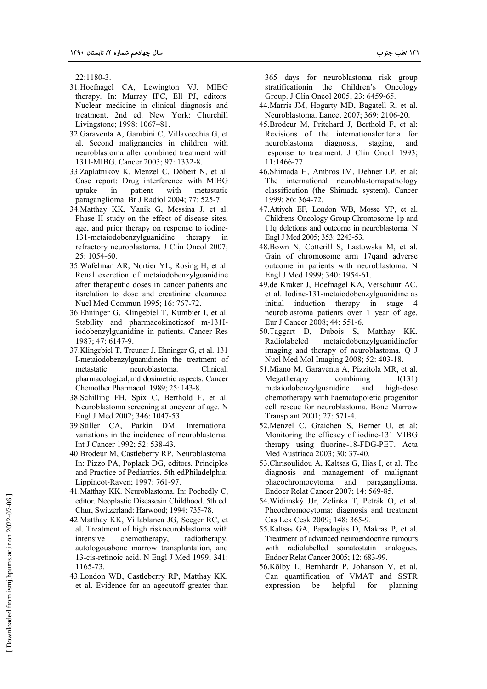22:1180-3.

- 31.Hoefnagel CA, Lewington VJ. MIBG therapy. In: Murray IPC, Ell PJ, editors. Nuclear medicine in clinical diagnosis and treatment. 2nd ed. New York: Churchill Livingstone; 1998: 1067–81.
- 32.Garaventa A, Gambini C, Villavecchia G, et al. Second malignancies in children with neuroblastoma after combined treatment with 131I-MIBG. Cancer 2003; 97: 1332-8.
- 33.Zaplatnikov K, Menzel C, Döbert N, et al. Case report: Drug interference with MIBG uptake in patient with metastatic paraganglioma. Br J Radiol 2004; 77: 525-7.
- 34.Matthay KK, Yanik G, Messina J, et al. Phase II study on the effect of disease sites, age, and prior therapy on response to iodine-131-metaiodobenzylguanidine therapy in refractory neuroblastoma. J Clin Oncol 2007; 25: 1054-60.
- 35.Wafelman AR, Nortier YL, Rosing H, et al. Renal excretion of metaiodobenzylguanidine after therapeutic doses in cancer patients and itsrelation to dose and creatinine clearance. Nucl Med Commun 1995; 16: 767-72.
- 36.Ehninger G, Klingebiel T, Kumbier I, et al. Stability and pharmacokineticsof m-131Iiodobenzylguanidine in patients. Cancer Res 1987; 47: 6147-9.
- 37.Klingebiel T, Treuner J, Ehninger G, et al. 131 I-metaiodobenzylguanidinein the treatment of metastatic neuroblastoma. Clinical, pharmacological,and dosimetric aspects. Cancer Chemother Pharmacol 1989; 25: 143-8.
- 38.Schilling FH, Spix C, Berthold F, et al. Neuroblastoma screening at oneyear of age. N Engl J Med 2002; 346: 1047-53.
- 39.Stiller CA, Parkin DM. International variations in the incidence of neuroblastoma. Int J Cancer 1992; 52: 538-43.
- 40.Brodeur M, Castleberry RP. Neuroblastoma. In: Pizzo PA, Poplack DG, editors. Principles and Practice of Pediatrics. 5th edPhiladelphia: Lippincot-Raven; 1997: 761-97.
- 41.Matthay KK. Neuroblastoma. In: Pochedly C, editor. Neoplastic Diseasesin Childhood. 5th ed. Chur, Switzerland: Harwood; 1994: 735-78.
- 42.Matthay KK, Villablanca JG, Seeger RC, et al. Treatment of high riskneuroblastoma with intensive chemotherapy, radiotherapy, autologousbone marrow transplantation, and 13-cis-retinoic acid. N Engl J Med 1999; 341: 1165-73.
- 43.London WB, Castleberry RP, Matthay KK, et al. Evidence for an agecutoff greater than

365 days for neuroblastoma risk group stratificationin the Children's Oncology Group. J Clin Oncol 2005; 23: 6459-65.

- 44.Marris JM, Hogarty MD, Bagatell R, et al. Neuroblastoma. Lancet 2007; 369: 2106-20.
- 45.Brodeur M, Pritchard J, Berthold F, et al: Revisions of the internationalcriteria for neuroblastoma diagnosis, staging, and response to treatment. J Clin Oncol 1993; 11:1466-77.
- 46.Shimada H, Ambros IM, Dehner LP, et al: The international neuroblastomapathology classification (the Shimada system). Cancer 1999; 86: 364-72.
- 47.Attiyeh EF, London WB, Mosse YP, et al. Childrens Oncology Group:Chromosome 1p and 11q deletions and outcome in neuroblastoma. N Engl J Med 2005; 353: 2243-53.
- 48.Bown N, Cotterill S, Lastowska M, et al. Gain of chromosome arm 17qand adverse outcome in patients with neuroblastoma. N Engl J Med 1999; 340: 1954-61.
- 49.de Kraker J, Hoefnagel KA, Verschuur AC, et al. Iodine-131-metaiodobenzylguanidine as initial induction therapy in stage 4 neuroblastoma patients over 1 year of age. Eur J Cancer 2008; 44: 551-6.
- 50.Taggart D, Dubois S, Matthay KK. Radiolabeled metaiodobenzylguanidinefor imaging and therapy of neuroblastoma. Q J Nucl Med Mol Imaging 2008; 52: 403-18.
- 51.Miano M, Garaventa A, Pizzitola MR, et al. Megatherapy combining  $I(131)$ metaiodobenzylguanidine and high-dose chemotherapy with haematopoietic progenitor cell rescue for neuroblastoma. Bone Marrow Transplant 2001; 27: 571-4.
- 52.Menzel C, Graichen S, Berner U, et al: Monitoring the efficacy of iodine-131 MIBG therapy using fluorine-18-FDG-PET. Acta Med Austriaca 2003; 30: 37-40.
- 53.Chrisoulidou A, Kaltsas G, Ilias I, et al. The diagnosis and management of malignant phaeochromocytoma and paraganglioma. Endocr Relat Cancer 2007; 14: 569-85.
- 54.Widimský JJr, Zelinka T, Petrák O, et al. Pheochromocytoma: diagnosis and treatment Cas Lek Cesk 2009; 148: 365-9.
- 55.Kaltsas GA, Papadogias D, Makras P, et al. Treatment of advanced neuroendocrine tumours with radiolabelled somatostatin analogues. Endocr Relat Cancer 2005; 12: 683-99.
- 56.Kölby L, Bernhardt P, Johanson V, et al. Can quantification of VMAT and SSTR expression be helpful for planning